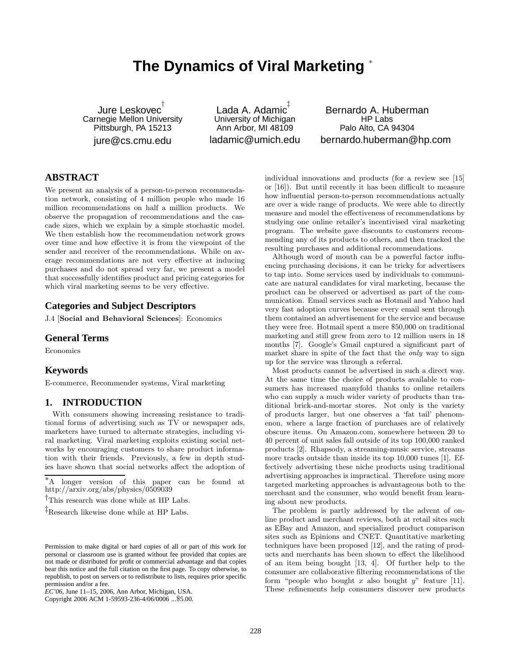# **The Dynamics of Viral Marketing** <sup>∗</sup>

Jure Leskovec<sup>†</sup> Carnegie Mellon University Pittsburgh, PA 15213 jure@cs.cmu.edu

Lada A. Adamic<sup>‡</sup> University of Michigan Ann Arbor, MI 48109 ladamic@umich.edu

Bernardo A. Huberman HP Labs Palo Alto, CA 94304 bernardo.huberman@hp.com

## **ABSTRACT**

We present an analysis of a person-to-person recommendation network, consisting of 4 million people who made 16 million recommendations on half a million products. We observe the propagation of recommendations and the cascade sizes, which we explain by a simple stochastic model. We then establish how the recommendation network grows over time and how effective it is from the viewpoint of the sender and receiver of the recommendations. While on average recommendations are not very effective at inducing purchases and do not spread very far, we present a model that successfully identifies product and pricing categories for which viral marketing seems to be very effective.

## **Categories and Subject Descriptors**

J.4 [**Social and Behavioral Sciences**]: Economics

#### **General Terms**

Economics

#### **Keywords**

E-commerce, Recommender systems, Viral marketing

## **1. INTRODUCTION**

With consumers showing increasing resistance to traditional forms of advertising such as TV or newspaper ads, marketers have turned to alternate strategies, including viral marketing. Viral marketing exploits existing social networks by encouraging customers to share product information with their friends. Previously, a few in depth studies have shown that social networks affect the adoption of individual innovations and products (for a review see [15] or [16]). But until recently it has been difficult to measure how influential person-to-person recommendations actually are over a wide range of products. We were able to directly measure and model the effectiveness of recommendations by studying one online retailer's incentivised viral marketing program. The website gave discounts to customers recommending any of its products to others, and then tracked the resulting purchases and additional recommendations.

Although word of mouth can be a powerful factor influencing purchasing decisions, it can be tricky for advertisers to tap into. Some services used by individuals to communicate are natural candidates for viral marketing, because the product can be observed or advertised as part of the communication. Email services such as Hotmail and Yahoo had very fast adoption curves because every email sent through them contained an advertisement for the service and because they were free. Hotmail spent a mere \$50,000 on traditional marketing and still grew from zero to 12 million users in 18 months [7]. Google's Gmail captured a significant part of market share in spite of the fact that the only way to sign up for the service was through a referral.

Most products cannot be advertised in such a direct way. At the same time the choice of products available to consumers has increased manyfold thanks to online retailers who can supply a much wider variety of products than traditional brick-and-mortar stores. Not only is the variety of products larger, but one observes a 'fat tail' phenomenon, where a large fraction of purchases are of relatively obscure items. On Amazon.com, somewhere between 20 to 40 percent of unit sales fall outside of its top 100,000 ranked products [2]. Rhapsody, a streaming-music service, streams more tracks outside than inside its top 10,000 tunes [1]. Effectively advertising these niche products using traditional advertising approaches is impractical. Therefore using more targeted marketing approaches is advantageous both to the merchant and the consumer, who would benefit from learning about new products.

The problem is partly addressed by the advent of online product and merchant reviews, both at retail sites such as EBay and Amazon, and specialized product comparison sites such as Epinions and CNET. Quantitative marketing techniques have been proposed [12], and the rating of products and merchants has been shown to effect the likelihood of an item being bought [13, 4]. Of further help to the consumer are collaborative filtering recommendations of the form "people who bought x also bought  $y$ " feature [11]. These refinements help consumers discover new products

<sup>∗</sup>A longer version of this paper can be found at http://arxiv.org/abs/physics/0509039

<sup>†</sup>This research was done while at HP Labs.

<sup>‡</sup>Research likewise done while at HP Labs.

Permission to make digital or hard copies of all or part of this work for personal or classroom use is granted without fee provided that copies are not made or distributed for profit or commercial advantage and that copies bear this notice and the full citation on the first page. To copy otherwise, to republish, to post on servers or to redistribute to lists, requires prior specific permission and/or a fee.

*EC'06,* June 11–15, 2006, Ann Arbor, Michigan, USA.

Copyright 2006 ACM 1-59593-236-4/06/0006 ...\$5.00.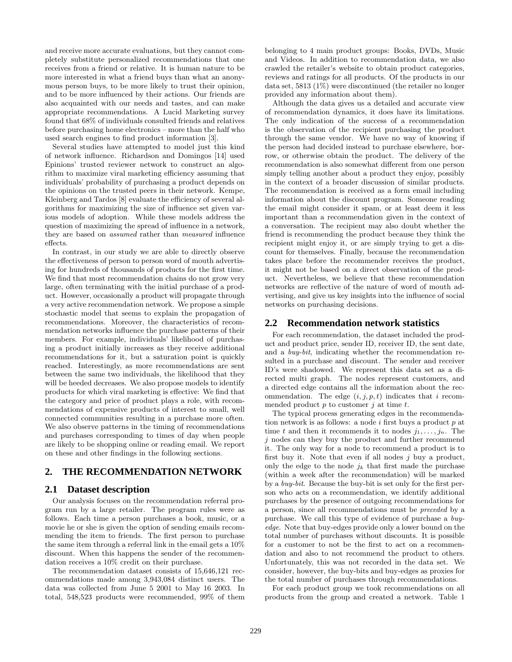and receive more accurate evaluations, but they cannot completely substitute personalized recommendations that one receives from a friend or relative. It is human nature to be more interested in what a friend buys than what an anonymous person buys, to be more likely to trust their opinion, and to be more influenced by their actions. Our friends are also acquainted with our needs and tastes, and can make appropriate recommendations. A Lucid Marketing survey found that 68% of individuals consulted friends and relatives before purchasing home electronics – more than the half who used search engines to find product information [3].

Several studies have attempted to model just this kind of network influence. Richardson and Domingos [14] used Epinions' trusted reviewer network to construct an algorithm to maximize viral marketing efficiency assuming that individuals' probability of purchasing a product depends on the opinions on the trusted peers in their network. Kempe, Kleinberg and Tardos [8] evaluate the efficiency of several algorithms for maximizing the size of influence set given various models of adoption. While these models address the question of maximizing the spread of influence in a network, they are based on assumed rather than measured influence effects.

In contrast, in our study we are able to directly observe the effectiveness of person to person word of mouth advertising for hundreds of thousands of products for the first time. We find that most recommendation chains do not grow very large, often terminating with the initial purchase of a product. However, occasionally a product will propagate through a very active recommendation network. We propose a simple stochastic model that seems to explain the propagation of recommendations. Moreover, the characteristics of recommendation networks influence the purchase patterns of their members. For example, individuals' likelihood of purchasing a product initially increases as they receive additional recommendations for it, but a saturation point is quickly reached. Interestingly, as more recommendations are sent between the same two individuals, the likelihood that they will be heeded decreases. We also propose models to identify products for which viral marketing is effective: We find that the category and price of product plays a role, with recommendations of expensive products of interest to small, well connected communities resulting in a purchase more often. We also observe patterns in the timing of recommendations and purchases corresponding to times of day when people are likely to be shopping online or reading email. We report on these and other findings in the following sections.

#### **2. THE RECOMMENDATION NETWORK**

#### **2.1 Dataset description**

Our analysis focuses on the recommendation referral program run by a large retailer. The program rules were as follows. Each time a person purchases a book, music, or a movie he or she is given the option of sending emails recommending the item to friends. The first person to purchase the same item through a referral link in the email gets a 10% discount. When this happens the sender of the recommendation receives a 10% credit on their purchase.

The recommendation dataset consists of 15,646,121 recommendations made among 3,943,084 distinct users. The data was collected from June 5 2001 to May 16 2003. In total, 548,523 products were recommended, 99% of them belonging to 4 main product groups: Books, DVDs, Music and Videos. In addition to recommendation data, we also crawled the retailer's website to obtain product categories, reviews and ratings for all products. Of the products in our data set, 5813 (1%) were discontinued (the retailer no longer provided any information about them).

Although the data gives us a detailed and accurate view of recommendation dynamics, it does have its limitations. The only indication of the success of a recommendation is the observation of the recipient purchasing the product through the same vendor. We have no way of knowing if the person had decided instead to purchase elsewhere, borrow, or otherwise obtain the product. The delivery of the recommendation is also somewhat different from one person simply telling another about a product they enjoy, possibly in the context of a broader discussion of similar products. The recommendation is received as a form email including information about the discount program. Someone reading the email might consider it spam, or at least deem it less important than a recommendation given in the context of a conversation. The recipient may also doubt whether the friend is recommending the product because they think the recipient might enjoy it, or are simply trying to get a discount for themselves. Finally, because the recommendation takes place before the recommender receives the product, it might not be based on a direct observation of the product. Nevertheless, we believe that these recommendation networks are reflective of the nature of word of mouth advertising, and give us key insights into the influence of social networks on purchasing decisions.

#### **2.2 Recommendation network statistics**

For each recommendation, the dataset included the product and product price, sender ID, receiver ID, the sent date, and a buy-bit, indicating whether the recommendation resulted in a purchase and discount. The sender and receiver ID's were shadowed. We represent this data set as a directed multi graph. The nodes represent customers, and a directed edge contains all the information about the recommendation. The edge  $(i, j, p, t)$  indicates that i recommended product  $p$  to customer  $j$  at time  $t$ .

The typical process generating edges in the recommendation network is as follows: a node  $i$  first buys a product  $p$  at time t and then it recommends it to nodes  $j_1, \ldots, j_n$ . The  $j$  nodes can they buy the product and further recommend it. The only way for a node to recommend a product is to first buy it. Note that even if all nodes  $j$  buy a product, only the edge to the node  $j_k$  that first made the purchase (within a week after the recommendation) will be marked by a buy-bit. Because the buy-bit is set only for the first person who acts on a recommendation, we identify additional purchases by the presence of outgoing recommendations for a person, since all recommendations must be preceded by a purchase. We call this type of evidence of purchase a buyedge. Note that buy-edges provide only a lower bound on the total number of purchases without discounts. It is possible for a customer to not be the first to act on a recommendation and also to not recommend the product to others. Unfortunately, this was not recorded in the data set. We consider, however, the buy-bits and buy-edges as proxies for the total number of purchases through recommendations.

For each product group we took recommendations on all products from the group and created a network. Table 1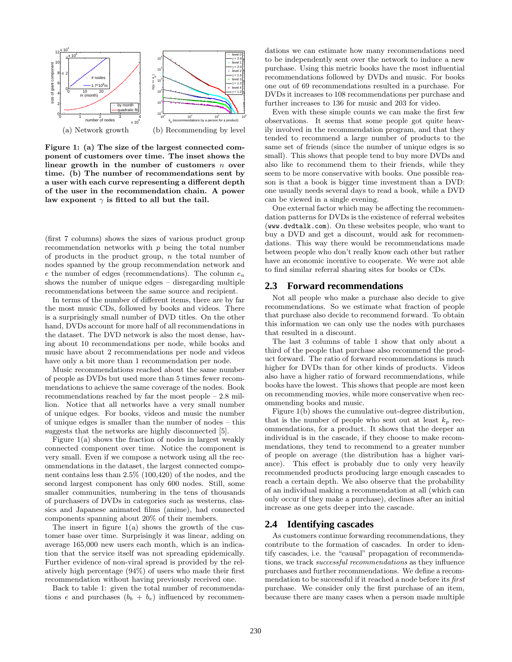

**Figure 1: (a) The size of the largest connected component of customers over time. The inset shows the linear growth in the number of customers** n **over time. (b) The number of recommendations sent by a user with each curve representing a different depth of the user in the recommendation chain. A power** law exponent  $\gamma$  is fitted to all but the tail.

(first 7 columns) shows the sizes of various product group recommendation networks with  $p$  being the total number of products in the product group,  $n$  the total number of nodes spanned by the group recommendation network and e the number of edges (recommendations). The column e*<sup>u</sup>* shows the number of unique edges – disregarding multiple recommendations between the same source and recipient.

In terms of the number of different items, there are by far the most music CDs, followed by books and videos. There is a surprisingly small number of DVD titles. On the other hand, DVDs account for more half of all recommendations in the dataset. The DVD network is also the most dense, having about 10 recommendations per node, while books and music have about 2 recommendations per node and videos have only a bit more than 1 recommendation per node.

Music recommendations reached about the same number of people as DVDs but used more than 5 times fewer recommendations to achieve the same coverage of the nodes. Book recommendations reached by far the most people – 2.8 million. Notice that all networks have a very small number of unique edges. For books, videos and music the number of unique edges is smaller than the number of nodes – this suggests that the networks are highly disconnected [5].

Figure 1(a) shows the fraction of nodes in largest weakly connected component over time. Notice the component is very small. Even if we compose a network using all the recommendations in the dataset, the largest connected component contains less than 2.5% (100,420) of the nodes, and the second largest component has only 600 nodes. Still, some smaller communities, numbering in the tens of thousands of purchasers of DVDs in categories such as westerns, classics and Japanese animated films (anime), had connected components spanning about 20% of their members.

The insert in figure  $1(a)$  shows the growth of the customer base over time. Surprisingly it was linear, adding on average 165,000 new users each month, which is an indication that the service itself was not spreading epidemically. Further evidence of non-viral spread is provided by the relatively high percentage (94%) of users who made their first recommendation without having previously received one.

Back to table 1: given the total number of recommendations e and purchases  $(b_b + b_e)$  influenced by recommendations we can estimate how many recommendations need to be independently sent over the network to induce a new purchase. Using this metric books have the most influential recommendations followed by DVDs and music. For books one out of 69 recommendations resulted in a purchase. For DVDs it increases to 108 recommendations per purchase and further increases to 136 for music and 203 for video.

Even with these simple counts we can make the first few observations. It seems that some people got quite heavily involved in the recommendation program, and that they tended to recommend a large number of products to the same set of friends (since the number of unique edges is so small). This shows that people tend to buy more DVDs and also like to recommend them to their friends, while they seem to be more conservative with books. One possible reason is that a book is bigger time investment than a DVD: one usually needs several days to read a book, while a DVD can be viewed in a single evening.

One external factor which may be affecting the recommendation patterns for DVDs is the existence of referral websites (www.dvdtalk.com). On these websites people, who want to buy a DVD and get a discount, would ask for recommendations. This way there would be recommendations made between people who don't really know each other but rather have an economic incentive to cooperate. We were not able to find similar referral sharing sites for books or CDs.

#### **2.3 Forward recommendations**

Not all people who make a purchase also decide to give recommendations. So we estimate what fraction of people that purchase also decide to recommend forward. To obtain this information we can only use the nodes with purchases that resulted in a discount.

The last 3 columns of table 1 show that only about a third of the people that purchase also recommend the product forward. The ratio of forward recommendations is much higher for DVDs than for other kinds of products. Videos also have a higher ratio of forward recommendations, while books have the lowest. This shows that people are most keen on recommending movies, while more conservative when recommending books and music.

Figure 1(b) shows the cumulative out-degree distribution, that is the number of people who sent out at least  $k_p$  recommendations, for a product. It shows that the deeper an individual is in the cascade, if they choose to make recommendations, they tend to recommend to a greater number of people on average (the distribution has a higher variance). This effect is probably due to only very heavily recommended products producing large enough cascades to reach a certain depth. We also observe that the probability of an individual making a recommendation at all (which can only occur if they make a purchase), declines after an initial increase as one gets deeper into the cascade.

#### **2.4 Identifying cascades**

As customers continue forwarding recommendations, they contribute to the formation of cascades. In order to identify cascades, i.e. the "causal" propagation of recommendations, we track successful recommendations as they influence purchases and further recommendations. We define a recommendation to be successful if it reached a node before its first purchase. We consider only the first purchase of an item, because there are many cases when a person made multiple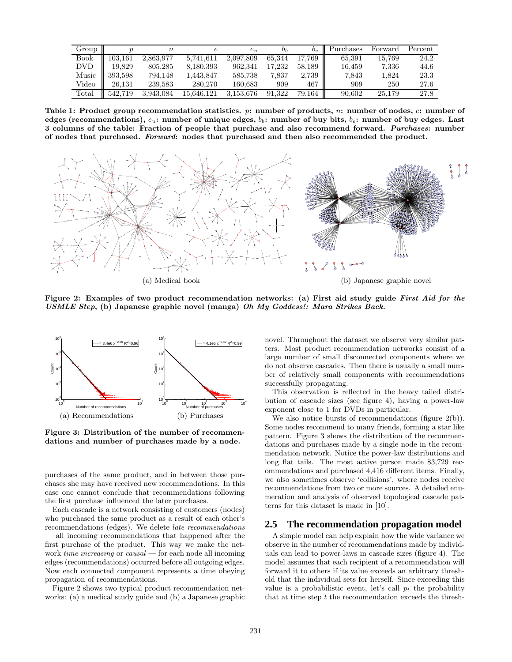| Group |         | $\it n$   |            | $e_u$     | $v_{h}$ | $b_e$  | Purchases | Forward | Percent |
|-------|---------|-----------|------------|-----------|---------|--------|-----------|---------|---------|
| Book  | 103.161 | 2.863.977 | 5.741.611  | 2.097.809 | 65.344  | 17.769 | 65.391    | 15.769  | 24.2    |
| DVD   | 19.829  | 805.285   | 8.180.393  | 962.341   | 17.232  | 58.189 | 16.459    | 7,336   | 44.6    |
| Music | 393.598 | 794.148   | 1.443.847  | 585.738   | 7.837   | 2,739  | 7.843     | 1.824   | 23.3    |
| Video | 26.131  | 239.583   | 280.270    | 160.683   | 909     | 467    | 909       | 250     | 27.6    |
| Total | 542.719 | 3.943.084 | 15.646.121 | 3,153,676 | 91.322  | 79.164 | 90.602    | 25,179  | 27.8    |

**Table 1: Product group recommendation statistics.** p**: number of products,** n**: number of nodes,** e**: number of edges (recommendations),** e*u***: number of unique edges,** b*b***: number of buy bits,** b*e***: number of buy edges. Last 3 columns of the table: Fraction of people that purchase and also recommend forward.** *Purchases***: number of nodes that purchased.** *Forward***: nodes that purchased and then also recommended the product.**



**Figure 2: Examples of two product recommendation networks: (a) First aid study guide** *First Aid for the USMLE Step***, (b) Japanese graphic novel (manga)** *Oh My Goddess!: Mara Strikes Back***.**



**Figure 3: Distribution of the number of recommendations and number of purchases made by a node.**

purchases of the same product, and in between those purchases she may have received new recommendations. In this case one cannot conclude that recommendations following the first purchase influenced the later purchases.

Each cascade is a network consisting of customers (nodes) who purchased the same product as a result of each other's recommendations (edges). We delete late recommendations — all incoming recommendations that happened after the first purchase of the product. This way we make the network time increasing or causal — for each node all incoming edges (recommendations) occurred before all outgoing edges. Now each connected component represents a time obeying propagation of recommendations.

Figure 2 shows two typical product recommendation networks: (a) a medical study guide and (b) a Japanese graphic novel. Throughout the dataset we observe very similar patters. Most product recommendation networks consist of a large number of small disconnected components where we do not observe cascades. Then there is usually a small number of relatively small components with recommendations successfully propagating.

This observation is reflected in the heavy tailed distribution of cascade sizes (see figure 4), having a power-law exponent close to 1 for DVDs in particular.

We also notice bursts of recommendations (figure 2(b)). Some nodes recommend to many friends, forming a star like pattern. Figure 3 shows the distribution of the recommendations and purchases made by a single node in the recommendation network. Notice the power-law distributions and long flat tails. The most active person made 83,729 recommendations and purchased 4,416 different items. Finally, we also sometimes observe 'collisions', where nodes receive recommendations from two or more sources. A detailed enumeration and analysis of observed topological cascade patterns for this dataset is made in [10].

#### **2.5 The recommendation propagation model**

A simple model can help explain how the wide variance we observe in the number of recommendations made by individuals can lead to power-laws in cascade sizes (figure 4). The model assumes that each recipient of a recommendation will forward it to others if its value exceeds an arbitrary threshold that the individual sets for herself. Since exceeding this value is a probabilistic event, let's call  $p_t$  the probability that at time step  $t$  the recommendation exceeds the thresh-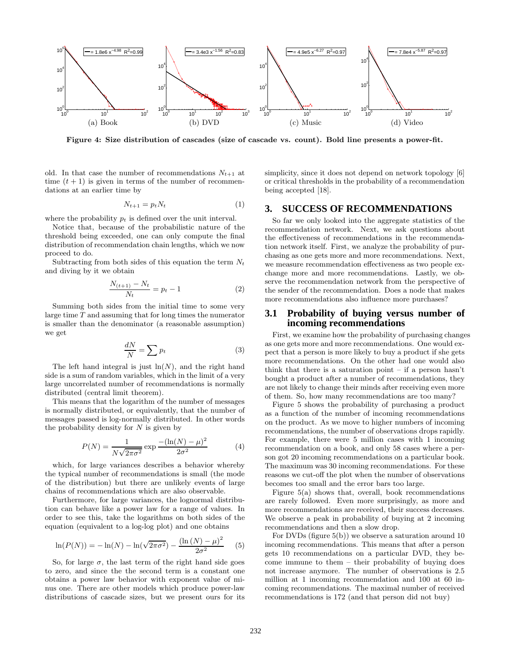

**Figure 4: Size distribution of cascades (size of cascade vs. count). Bold line presents a power-fit.**

old. In that case the number of recommendations  $N_{t+1}$  at time  $(t + 1)$  is given in terms of the number of recommendations at an earlier time by

$$
N_{t+1} = p_t N_t \tag{1}
$$

where the probability  $p_t$  is defined over the unit interval.

Notice that, because of the probabilistic nature of the threshold being exceeded, one can only compute the final distribution of recommendation chain lengths, which we now proceed to do.

Subtracting from both sides of this equation the term N*<sup>t</sup>* and diving by it we obtain

$$
\frac{N_{(t+1)} - N_t}{N_t} = p_t - 1\tag{2}
$$

Summing both sides from the initial time to some very large time  $T$  and assuming that for long times the numerator is smaller than the denominator (a reasonable assumption) we get

$$
\frac{dN}{N} = \sum p_t \tag{3}
$$

The left hand integral is just  $\ln(N)$ , and the right hand side is a sum of random variables, which in the limit of a very large uncorrelated number of recommendations is normally distributed (central limit theorem).

This means that the logarithm of the number of messages is normally distributed, or equivalently, that the number of messages passed is log-normally distributed. In other words the probability density for  $N$  is given by

$$
P(N) = \frac{1}{N\sqrt{2\pi\sigma^2}} \exp \frac{- (\ln(N) - \mu)^2}{2\sigma^2}
$$
 (4)

which, for large variances describes a behavior whereby the typical number of recommendations is small (the mode of the distribution) but there are unlikely events of large chains of recommendations which are also observable.

Furthermore, for large variances, the lognormal distribution can behave like a power law for a range of values. In order to see this, take the logarithms on both sides of the equation (equivalent to a log-log plot) and one obtains

$$
\ln(P(N)) = -\ln(N) - \ln(\sqrt{2\pi\sigma^2}) - \frac{(\ln(N) - \mu)^2}{2\sigma^2}
$$
 (5)

So, for large  $\sigma$ , the last term of the right hand side goes to zero, and since the the second term is a constant one obtains a power law behavior with exponent value of minus one. There are other models which produce power-law distributions of cascade sizes, but we present ours for its simplicity, since it does not depend on network topology [6] or critical thresholds in the probability of a recommendation being accepted [18].

## **3. SUCCESS OF RECOMMENDATIONS**

So far we only looked into the aggregate statistics of the recommendation network. Next, we ask questions about the effectiveness of recommendations in the recommendation network itself. First, we analyze the probability of purchasing as one gets more and more recommendations. Next, we measure recommendation effectiveness as two people exchange more and more recommendations. Lastly, we observe the recommendation network from the perspective of the sender of the recommendation. Does a node that makes more recommendations also influence more purchases?

## **3.1 Probability of buying versus number of incoming recommendations**

First, we examine how the probability of purchasing changes as one gets more and more recommendations. One would expect that a person is more likely to buy a product if she gets more recommendations. On the other had one would also think that there is a saturation point – if a person hasn't bought a product after a number of recommendations, they are not likely to change their minds after receiving even more of them. So, how many recommendations are too many?

Figure 5 shows the probability of purchasing a product as a function of the number of incoming recommendations on the product. As we move to higher numbers of incoming recommendations, the number of observations drops rapidly. For example, there were 5 million cases with 1 incoming recommendation on a book, and only 58 cases where a person got 20 incoming recommendations on a particular book. The maximum was 30 incoming recommendations. For these reasons we cut-off the plot when the number of observations becomes too small and the error bars too large.

Figure 5(a) shows that, overall, book recommendations are rarely followed. Even more surprisingly, as more and more recommendations are received, their success decreases. We observe a peak in probability of buying at 2 incoming recommendations and then a slow drop.

For DVDs (figure 5(b)) we observe a saturation around 10 incoming recommendations. This means that after a person gets 10 recommendations on a particular DVD, they become immune to them – their probability of buying does not increase anymore. The number of observations is 2.5 million at 1 incoming recommendation and 100 at 60 incoming recommendations. The maximal number of received recommendations is 172 (and that person did not buy)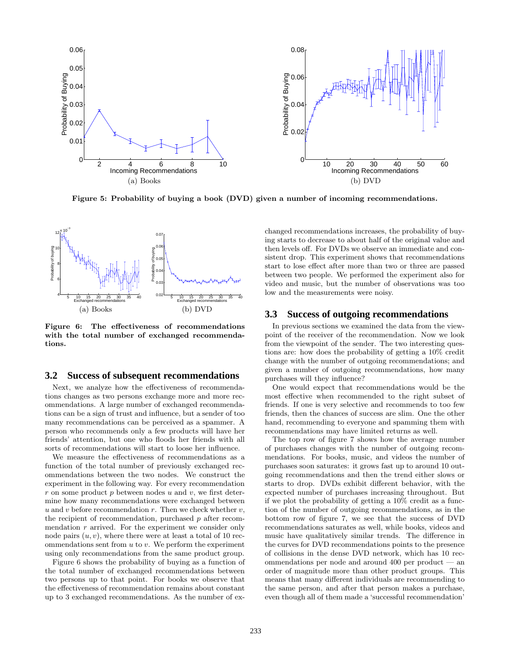

**Figure 5: Probability of buying a book (DVD) given a number of incoming recommendations.**



**Figure 6: The effectiveness of recommendations with the total number of exchanged recommendations.**

## **3.2 Success of subsequent recommendations**

Next, we analyze how the effectiveness of recommendations changes as two persons exchange more and more recommendations. A large number of exchanged recommendations can be a sign of trust and influence, but a sender of too many recommendations can be perceived as a spammer. A person who recommends only a few products will have her friends' attention, but one who floods her friends with all sorts of recommendations will start to loose her influence.

We measure the effectiveness of recommendations as a function of the total number of previously exchanged recommendations between the two nodes. We construct the experiment in the following way. For every recommendation r on some product p between nodes u and v, we first determine how many recommendations were exchanged between u and v before recommendation  $r$ . Then we check whether  $v$ , the recipient of recommendation, purchased  $p$  after recommendation  $r$  arrived. For the experiment we consider only node pairs  $(u, v)$ , where there were at least a total of 10 recommendations sent from  $u$  to  $v$ . We perform the experiment using only recommendations from the same product group.

Figure 6 shows the probability of buying as a function of the total number of exchanged recommendations between two persons up to that point. For books we observe that the effectiveness of recommendation remains about constant up to 3 exchanged recommendations. As the number of exchanged recommendations increases, the probability of buying starts to decrease to about half of the original value and then levels off. For DVDs we observe an immediate and consistent drop. This experiment shows that recommendations start to lose effect after more than two or three are passed between two people. We performed the experiment also for video and music, but the number of observations was too low and the measurements were noisy.

#### **3.3 Success of outgoing recommendations**

In previous sections we examined the data from the viewpoint of the receiver of the recommendation. Now we look from the viewpoint of the sender. The two interesting questions are: how does the probability of getting a 10% credit change with the number of outgoing recommendations; and given a number of outgoing recommendations, how many purchases will they influence?

One would expect that recommendations would be the most effective when recommended to the right subset of friends. If one is very selective and recommends to too few friends, then the chances of success are slim. One the other hand, recommending to everyone and spamming them with recommendations may have limited returns as well.

The top row of figure 7 shows how the average number of purchases changes with the number of outgoing recommendations. For books, music, and videos the number of purchases soon saturates: it grows fast up to around 10 outgoing recommendations and then the trend either slows or starts to drop. DVDs exhibit different behavior, with the expected number of purchases increasing throughout. But if we plot the probability of getting a 10% credit as a function of the number of outgoing recommendations, as in the bottom row of figure 7, we see that the success of DVD recommendations saturates as well, while books, videos and music have qualitatively similar trends. The difference in the curves for DVD recommendations points to the presence of collisions in the dense DVD network, which has 10 recommendations per node and around 400 per product — an order of magnitude more than other product groups. This means that many different individuals are recommending to the same person, and after that person makes a purchase, even though all of them made a 'successful recommendation'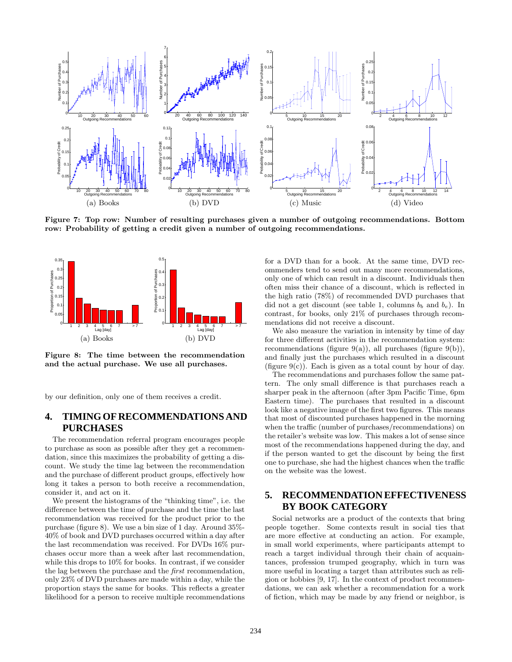

**Figure 7: Top row: Number of resulting purchases given a number of outgoing recommendations. Bottom row: Probability of getting a credit given a number of outgoing recommendations.**



**Figure 8: The time between the recommendation and the actual purchase. We use all purchases.**

by our definition, only one of them receives a credit.

## **4. TIMING OF RECOMMENDATIONS AND PURCHASES**

The recommendation referral program encourages people to purchase as soon as possible after they get a recommendation, since this maximizes the probability of getting a discount. We study the time lag between the recommendation and the purchase of different product groups, effectively how long it takes a person to both receive a recommendation, consider it, and act on it.

We present the histograms of the "thinking time", i.e. the difference between the time of purchase and the time the last recommendation was received for the product prior to the purchase (figure 8). We use a bin size of 1 day. Around 35%- 40% of book and DVD purchases occurred within a day after the last recommendation was received. For DVDs 16% purchases occur more than a week after last recommendation, while this drops to 10% for books. In contrast, if we consider the lag between the purchase and the first recommendation, only 23% of DVD purchases are made within a day, while the proportion stays the same for books. This reflects a greater likelihood for a person to receive multiple recommendations

for a DVD than for a book. At the same time, DVD recommenders tend to send out many more recommendations, only one of which can result in a discount. Individuals then often miss their chance of a discount, which is reflected in the high ratio (78%) of recommended DVD purchases that did not a get discount (see table 1, columns  $b_b$  and  $b_e$ ). In contrast, for books, only 21% of purchases through recommendations did not receive a discount.

We also measure the variation in intensity by time of day for three different activities in the recommendation system: recommendations (figure 9(a)), all purchases (figure 9(b)), and finally just the purchases which resulted in a discount (figure  $9(c)$ ). Each is given as a total count by hour of day.

The recommendations and purchases follow the same pattern. The only small difference is that purchases reach a sharper peak in the afternoon (after 3pm Pacific Time, 6pm Eastern time). The purchases that resulted in a discount look like a negative image of the first two figures. This means that most of discounted purchases happened in the morning when the traffic (number of purchases/recommendations) on the retailer's website was low. This makes a lot of sense since most of the recommendations happened during the day, and if the person wanted to get the discount by being the first one to purchase, she had the highest chances when the traffic on the website was the lowest.

# **5. RECOMMENDATION EFFECTIVENESS BY BOOK CATEGORY**

Social networks are a product of the contexts that bring people together. Some contexts result in social ties that are more effective at conducting an action. For example, in small world experiments, where participants attempt to reach a target individual through their chain of acquaintances, profession trumped geography, which in turn was more useful in locating a target than attributes such as religion or hobbies [9, 17]. In the context of product recommendations, we can ask whether a recommendation for a work of fiction, which may be made by any friend or neighbor, is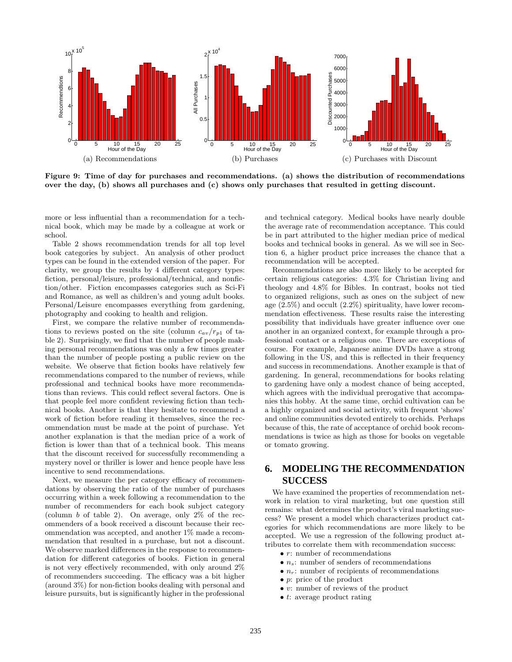

**Figure 9: Time of day for purchases and recommendations. (a) shows the distribution of recommendations over the day, (b) shows all purchases and (c) shows only purchases that resulted in getting discount.**

more or less influential than a recommendation for a technical book, which may be made by a colleague at work or school.

Table 2 shows recommendation trends for all top level book categories by subject. An analysis of other product types can be found in the extended version of the paper. For clarity, we group the results by 4 different category types: fiction, personal/leisure, professional/technical, and nonfiction/other. Fiction encompasses categories such as Sci-Fi and Romance, as well as children's and young adult books. Personal/Leisure encompasses everything from gardening, photography and cooking to health and religion.

First, we compare the relative number of recommendations to reviews posted on the site (column  $c_{av}/r_{p1}$  of table 2). Surprisingly, we find that the number of people making personal recommendations was only a few times greater than the number of people posting a public review on the website. We observe that fiction books have relatively few recommendations compared to the number of reviews, while professional and technical books have more recommendations than reviews. This could reflect several factors. One is that people feel more confident reviewing fiction than technical books. Another is that they hesitate to recommend a work of fiction before reading it themselves, since the recommendation must be made at the point of purchase. Yet another explanation is that the median price of a work of fiction is lower than that of a technical book. This means that the discount received for successfully recommending a mystery novel or thriller is lower and hence people have less incentive to send recommendations.

Next, we measure the per category efficacy of recommendations by observing the ratio of the number of purchases occurring within a week following a recommendation to the number of recommenders for each book subject category (column  $b$  of table 2). On average, only 2% of the recommenders of a book received a discount because their recommendation was accepted, and another 1% made a recommendation that resulted in a purchase, but not a discount. We observe marked differences in the response to recommendation for different categories of books. Fiction in general is not very effectively recommended, with only around 2% of recommenders succeeding. The efficacy was a bit higher (around 3%) for non-fiction books dealing with personal and leisure pursuits, but is significantly higher in the professional

and technical category. Medical books have nearly double the average rate of recommendation acceptance. This could be in part attributed to the higher median price of medical books and technical books in general. As we will see in Section 6, a higher product price increases the chance that a recommendation will be accepted.

Recommendations are also more likely to be accepted for certain religious categories: 4.3% for Christian living and theology and 4.8% for Bibles. In contrast, books not tied to organized religions, such as ones on the subject of new age (2.5%) and occult (2.2%) spirituality, have lower recommendation effectiveness. These results raise the interesting possibility that individuals have greater influence over one another in an organized context, for example through a professional contact or a religious one. There are exceptions of course. For example, Japanese anime DVDs have a strong following in the US, and this is reflected in their frequency and success in recommendations. Another example is that of gardening. In general, recommendations for books relating to gardening have only a modest chance of being accepted, which agrees with the individual prerogative that accompanies this hobby. At the same time, orchid cultivation can be a highly organized and social activity, with frequent 'shows' and online communities devoted entirely to orchids. Perhaps because of this, the rate of acceptance of orchid book recommendations is twice as high as those for books on vegetable or tomato growing.

# **6. MODELING THE RECOMMENDATION SUCCESS**

We have examined the properties of recommendation network in relation to viral marketing, but one question still remains: what determines the product's viral marketing success? We present a model which characterizes product categories for which recommendations are more likely to be accepted. We use a regression of the following product attributes to correlate them with recommendation success:

- $\bullet$  r: number of recommendations
- $n<sub>s</sub>$ : number of senders of recommendations
- $\bullet$   $n_r$ : number of recipients of recommendations
- *p*: price of the product
- $\bullet$  v: number of reviews of the product
- $\bullet$  t: average product rating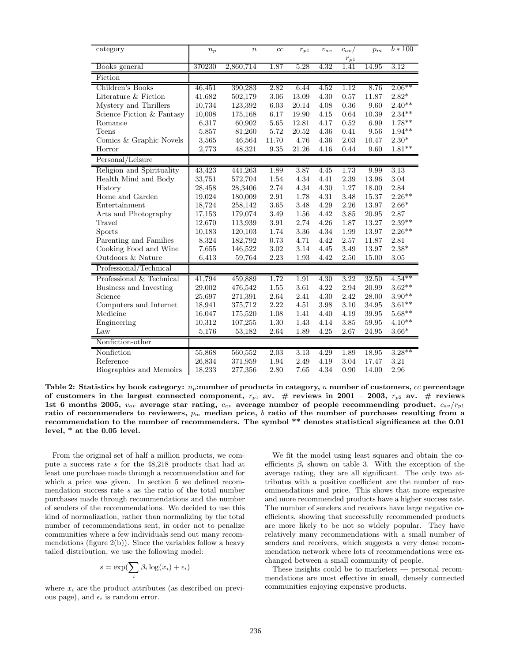| category                  | $n_p$  | $\boldsymbol{n}$ | cc    | $r_{p1}$ | $v_{av}$ | $c_{av}/% \sqrt{c_{av}/c_{av}/c_{av}/c_{av}}$ | $p_m$ | $b * 100$         |
|---------------------------|--------|------------------|-------|----------|----------|-----------------------------------------------|-------|-------------------|
|                           |        |                  |       |          |          | $r_{p1}$                                      |       |                   |
| Books general             | 370230 | 2,860,714        | 1.87  | 5.28     | 4.32     | 1.41                                          | 14.95 | 3.12              |
| Fiction                   |        |                  |       |          |          |                                               |       |                   |
| Children's Books          | 46,451 | 390,283          | 2.82  | 6.44     | 4.52     | 1.12                                          | 8.76  | $2.06**$          |
| Literature & Fiction      | 41,682 | 502,179          | 3.06  | 13.09    | 4.30     | 0.57                                          | 11.87 | $2.82*$           |
| Mystery and Thrillers     | 10,734 | 123,392          | 6.03  | 20.14    | 4.08     | 0.36                                          | 9.60  | $2.40**$          |
| Science Fiction & Fantasy | 10,008 | 175,168          | 6.17  | 19.90    | 4.15     | 0.64                                          | 10.39 | $2.34^{\ast\ast}$ |
| Romance                   | 6,317  | 60,902           | 5.65  | 12.81    | 4.17     | 0.52                                          | 6.99  | $1.78**$          |
| Teens                     | 5,857  | 81,260           | 5.72  | 20.52    | 4.36     | 0.41                                          | 9.56  | $1.94^{\ast\ast}$ |
| Comics & Graphic Novels   | 3,565  | 46,564           | 11.70 | 4.76     | 4.36     | 2.03                                          | 10.47 | $2.30*$           |
| Horror                    | 2,773  | 48,321           | 9.35  | 21.26    | 4.16     | 0.44                                          | 9.60  | $1.81**$          |
| Personal/Leisure          |        |                  |       |          |          |                                               |       |                   |
| Religion and Spirituality | 43,423 | 441,263          | 1.89  | 3.87     | 4.45     | 1.73                                          | 9.99  | 3.13              |
| Health Mind and Body      | 33,751 | 572,704          | 1.54  | 4.34     | 4.41     | 2.39                                          | 13.96 | 3.04              |
| History                   | 28,458 | 28,3406          | 2.74  | 4.34     | $4.30\,$ | 1.27                                          | 18.00 | 2.84              |
| Home and Garden           | 19,024 | 180,009          | 2.91  | 1.78     | 4.31     | 3.48                                          | 15.37 | $2.26**$          |
| Entertainment             | 18,724 | 258,142          | 3.65  | 3.48     | 4.29     | 2.26                                          | 13.97 | $2.66*$           |
| Arts and Photography      | 17,153 | 179,074          | 3.49  | 1.56     | 4.42     | 3.85                                          | 20.95 | 2.87              |
| Travel                    | 12,670 | 113,939          | 3.91  | 2.74     | 4.26     | 1.87                                          | 13.27 | $2.39**$          |
| <b>Sports</b>             | 10,183 | 120,103          | 1.74  | 3.36     | 4.34     | 1.99                                          | 13.97 | $2.26**$          |
| Parenting and Families    | 8,324  | 182,792          | 0.73  | 4.71     | 4.42     | 2.57                                          | 11.87 | 2.81              |
| Cooking Food and Wine     | 7,655  | 146,522          | 3.02  | 3.14     | 4.45     | 3.49                                          | 13.97 | $2.38*$           |
| Outdoors & Nature         | 6,413  | 59,764           | 2.23  | 1.93     | 4.42     | 2.50                                          | 15.00 | 3.05              |
| Professional/Technical    |        |                  |       |          |          |                                               |       |                   |
| Professional & Technical  | 41,794 | 459,889          | 1.72  | 1.91     | 4.30     | 3.22                                          | 32.50 | $4.54***$         |
| Business and Investing    | 29,002 | 476,542          | 1.55  | 3.61     | 4.22     | 2.94                                          | 20.99 | $3.62**$          |
| Science                   | 25,697 | 271,391          | 2.64  | 2.41     | 4.30     | 2.42                                          | 28.00 | $3.90^{\ast\ast}$ |
| Computers and Internet    | 18,941 | 375,712          | 2.22  | 4.51     | 3.98     | 3.10                                          | 34.95 | $3.61^{\ast\ast}$ |
| Medicine                  | 16,047 | 175,520          | 1.08  | 1.41     | 4.40     | 4.19                                          | 39.95 | $5.68^{\ast\ast}$ |
| Engineering               | 10,312 | 107,255          | 1.30  | 1.43     | 4.14     | 3.85                                          | 59.95 | $4.10**$          |
| Law                       | 5,176  | 53,182           | 2.64  | 1.89     | 4.25     | 2.67                                          | 24.95 | $3.66*$           |
| Nonfiction-other          |        |                  |       |          |          |                                               |       |                   |
| Nonfiction                | 55,868 | 560,552          | 2.03  | 3.13     | 4.29     | 1.89                                          | 18.95 | $3.28***$         |
| Reference                 | 26,834 | 371,959          | 1.94  | 2.49     | 4.19     | 3.04                                          | 17.47 | 3.21              |
| Biographies and Memoirs   | 18,233 | 277,356          | 2.80  | 7.65     | 4.34     | 0.90                                          | 14.00 | 2.96              |

**Table 2: Statistics by book category:** n*p***:number of products in category,** n **number of customers,** cc **percentage** of customers in the largest connected component,  $r_{p1}$  av. # reviews in 2001 – 2003,  $r_{p2}$  av. # reviews 1st 6 months 2005,  $v_{av}$  average star rating,  $c_{av}$  average number of people recommending product,  $c_{av}/r_{p1}$ **ratio of recommenders to reviewers,** p*<sup>m</sup>* **median price,** b **ratio of the number of purchases resulting from a recommendation to the number of recommenders. The symbol \*\* denotes statistical significance at the 0.01 level, \* at the 0.05 level.**

From the original set of half a million products, we compute a success rate s for the 48,218 products that had at least one purchase made through a recommendation and for which a price was given. In section 5 we defined recommendation success rate s as the ratio of the total number purchases made through recommendations and the number of senders of the recommendations. We decided to use this kind of normalization, rather than normalizing by the total number of recommendations sent, in order not to penalize communities where a few individuals send out many recommendations (figure  $2(b)$ ). Since the variables follow a heavy tailed distribution, we use the following model:

$$
s = \exp(\sum_{i} \beta_i \log(x_i) + \epsilon_i)
$$

where  $x_i$  are the product attributes (as described on previous page), and  $\epsilon_i$  is random error.

We fit the model using least squares and obtain the coefficients  $\beta_i$  shown on table 3. With the exception of the average rating, they are all significant. The only two attributes with a positive coefficient are the number of recommendations and price. This shows that more expensive and more recommended products have a higher success rate. The number of senders and receivers have large negative coefficients, showing that successfully recommended products are more likely to be not so widely popular. They have relatively many recommendations with a small number of senders and receivers, which suggests a very dense recommendation network where lots of recommendations were exchanged between a small community of people.

These insights could be to marketers — personal recommendations are most effective in small, densely connected communities enjoying expensive products.